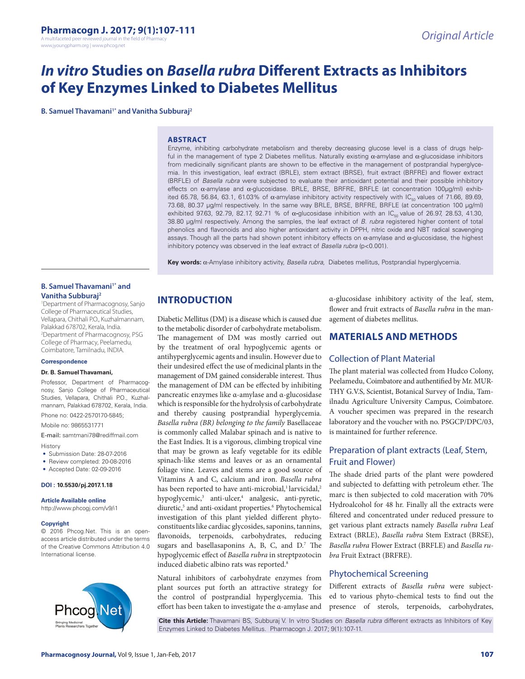www.jyoungpharm.org | www.phcog.net

# *In vitro* **Studies on** *Basella rubra* **Different Extracts as Inhibitors of Key Enzymes Linked to Diabetes Mellitus**

**B. Samuel Thavamani<sup>1\*</sup> and Vanitha Subburai<sup>2</sup>** 

#### **ABSTRACT**

Enzyme, inhibiting carbohydrate metabolism and thereby decreasing glucose level is a class of drugs helpful in the management of type 2 Diabetes mellitus. Naturally existing α-amylase and α-glucosidase inhibitors from medicinally significant plants are shown to be effective in the management of postprandial hyperglycemia. In this investigation, leaf extract (BRLE), stem extract (BRSE), fruit extract (BRFRE) and flower extract (BRFLE) of *Basella rubra* were subjected to evaluate their antioxidant potential and their possible inhibitory effects on α-amylase and α-glucosidase. BRLE, BRSE, BRFRE, BRFLE (at concentration 100µg/ml) exhibited 65.78, 56.84, 63.1, 61.03% of α-amylase inhibitory activity respectively with IC<sub>50</sub> values of 71.66, 89.69, 73.68, 80.37 µg/ml respectively. In the same way BRLE, BRSE, BRFRE, BRFLE (at concentration 100 µg/ml) exhibited 97.63, 92.79, 82.17, 92.71 % of α-glucosidase inhibition with an IC<sub>50</sub> value of 26.97, 28.53, 41.30, 38.80 µg/ml respectively. Among the samples, the leaf extract of *B. rubra* registered higher content of total phenolics and flavonoids and also higher antioxidant activity in DPPH, nitric oxide and NBT radical scavenging assays. Though all the parts had shown potent inhibitory effects on  $\alpha$ -amylase and  $\alpha$ -glucosidase, the highest inhibitory potency was observed in the leaf extract of *Basella rubra* (p<0.001)*.* 

**Key words:** α-Amylase inhibitory activity, *Basella rubra*, Diabetes mellitus, Postprandial hyperglycemia.

## **B. Samuel Thavamani<sup>1\*</sup> and Vanitha Subburaj2**

1 Department of Pharmacognosy, Sanjo College of Pharmaceutical Studies, Vellapara, Chithali P.O., Kuzhalmannam, Palakkad 678702, Kerala, India. 2 Department of Pharmacognosy, PSG College of Pharmacy, Peelamedu, Coimbatore, Tamilnadu, INDIA.

#### **Correspondence**

#### **Dr. B. Samuel Thavamani,**

Professor, Department of Pharmacognosy, Sanjo College of Pharmaceutical Studies, Vellapara, Chithali P.O., Kuzhalmannam, Palakkad 678702, Kerala, India.

Phone no: 0422-2570170-5845;

Mobile no: 9865531771 E-mail: samtmani78@rediffmail.com

History

- Submission Date: 28-07-2016
- Review completed: 20-08-2016
- Accepted Date: 02-09-2016

#### **DOI : 10.5530/pj.2017.1.18**

**Article Available online**  http://www.phcogj.com/v9/i1

#### **Copyright**

© 2016 Phcog.Net. This is an openaccess article distributed under the terms of the Creative Commons Attribution 4.0 International license.



**INTRODUCTION**

Diabetic Mellitus (DM) is a disease which is caused due to the metabolic disorder of carbohydrate metabolism. The management of DM was mostly carried out by the treatment of oral hypoglycemic agents or antihyperglycemic agents and insulin. However due to their undesired effect the use of medicinal plants in the management of DM gained considerable interest. Thus the management of DM can be effected by inhibiting pancreatic enzymes like α-amylase and α-glucosidase which is responsible for the hydrolysis of carbohydrate and thereby causing postprandial hyperglycemia. *Basella rubra (BR) belonging to the family* Basellaceae is commonly called Malabar spinach and is native to the East Indies. It is a vigorous, climbing tropical vine that may be grown as leafy vegetable for its edible spinach-like stems and leaves or as an ornamental foliage vine. Leaves and stems are a good source of Vitamins A and C, calcium and iron. *Basella rubra*  has been reported to have anti-microbial,<sup>1</sup> larvicidal,<sup>2</sup> hypoglycemic,<sup>3</sup> anti-ulcer,<sup>4</sup> analgesic, anti-pyretic, diuretic,<sup>5</sup> and anti-oxidant properties.<sup>6</sup> Phytochemical investigation of this plant yielded different phytoconstituents like cardiac glycosides, saponins, tannins, flavonoids, terpenoids, carbohydrates, reducing sugars and basellasaponins A, B, C, and D.<sup>7</sup> The hypoglycemic effect of *Basella rubra* in streptpzotocin induced diabetic albino rats was reported.<sup>8</sup>

Natural inhibitors of carbohydrate enzymes from plant sources put forth an attractive strategy for the control of postprandial hyperglycemia. This effort has been taken to investigate the α-amylase and

α-glucosidase inhibitory activity of the leaf, stem, flower and fruit extracts of *Basella rubra* in the management of diabetes mellitus.

# **MATERIALS AND METHODS**

## Collection of Plant Material

The plant material was collected from Hudco Colony, Peelamedu, Coimbatore and authentified by Mr. MUR-THY G.V.S, Scientist, Botanical Survey of India, Tamilnadu Agriculture University Campus, Coimbatore. A voucher specimen was prepared in the research laboratory and the voucher with no. PSGCP/DPC/03, is maintained for further reference.

# Preparation of plant extracts (Leaf, Stem, Fruit and Flower)

The shade dried parts of the plant were powdered and subjected to defatting with petroleum ether. The marc is then subjected to cold maceration with 70% Hydroalcohol for 48 hr. Finally all the extracts were filtered and concentrated under reduced pressure to get various plant extracts namely *Basella rubra* Leaf Extract (BRLE), *Basella rubra* Stem Extract (BRSE), *Basella rubra* Flower Extract (BRFLE) and *Basella rubra* Fruit Extract (BRFRE).

# Phytochemical Screening

Different extracts of *Basella rubra* were subjected to various phyto-chemical tests to find out the presence of sterols, terpenoids, carbohydrates,

**Cite this Article:** Thavamani BS, Subburaj V. In vitro Studies on *Basella rubra* different extracts as Inhibitors of Key Enzymes Linked to Diabetes Mellitus. Pharmacogn J. 2017; 9(1):107-11.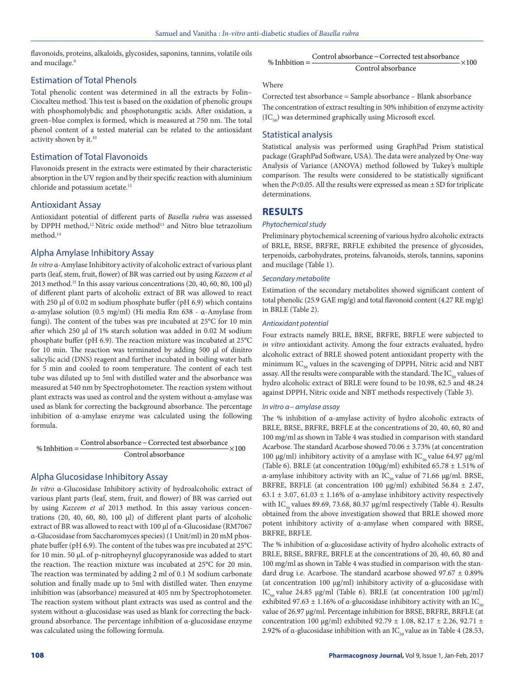flavonoids, proteins, alkaloids, glycosides, saponins, tannins, volatile oils and mucilage.<sup>9</sup>

## Estimation of Total Phenols

Total phenolic content was determined in all the extracts by Folin– Ciocalteu method. This test is based on the oxidation of phenolic groups with phosphomolybdic and phosphotungstic acids. After oxidation, a green–blue complex is formed, which is measured at 750 nm. The total phenol content of a tested material can be related to the antioxidant activity shown by it.<sup>10</sup>

## Estimation of Total Flavonoids

Flavonoids present in the extracts were estimated by their characteristic absorption in the UV region and by their specific reaction with aluminium chloride and potassium acetate.<sup>11</sup>

## Antioxidant Assay

Antioxidant potential of different parts of *Basella rubra* was assessed by DPPH method,<sup>12</sup> Nitric oxide method<sup>13</sup> and Nitro blue tetrazolium method.14

# Alpha Amylase Inhibitory Assay

*In vitro* α-Amylase Inhibitory activity of alcoholic extract of various plant parts (leaf, stem, fruit, flower) of BR was carried out by using *Kazeem et al* 2013 method.15 In this assay various concentrations (20, 40, 60, 80, 100 μl) of different plant parts of alcoholic extract of BR was allowed to react with 250 μl of 0.02 m sodium phosphate buffer (pH 6.9) which contains α-amylase solution (0.5 mg/ml) (Hi media Rm 638 - α-Amylase from fungi). The content of the tubes was pre incubated at 25°C for 10 min after which 250 μl of 1% starch solution was added in 0.02 M sodium phosphate buffer (pH 6.9). The reaction mixture was incubated at 25°C for 10 min. The reaction was terminated by adding 500 μl of dinitro salicylic acid (DNS) reagent and further incubated in boiling water bath for 5 min and cooled to room temperature. The content of each test tube was diluted up to 5ml with distilled water and the absorbance was measured at 540 nm by Spectrophotometer. The reaction system without plant extracts was used as control and the system without α-amylase was used as blank for correcting the background absorbance. The percentage inhibition of α-amylase enzyme was calculated using the following formula.

% Inhbition  $=\frac{\text{Control absorbance} - \text{Corrected test absorbance}}{0.00 \times 10^{11}} \times 100$ Control absorbance

## Alpha Glucosidase Inhibitory Assay

*In vitro* α-Glucosidase Inhibitory activity of hydroalcoholic extract of various plant parts (leaf, stem, fruit, and flower) of BR was carried out by using *Kazeem et al* 2013 method. In this assay various concentrations (20, 40, 60, 80, 100 μl) of different plant parts of alcoholic extract of BR was allowed to react with 100 μl of α-Glucosidase (RM7067 α-Glucosidase from Saccharomyces species) (1 Unit/ml) in 20 mM phosphate buffer (pH 6.9). The content of the tubes was pre incubated at 25°C for 10 min. 50 μL of p-nitropheynyl glucopyranoside was added to start the reaction. The reaction mixture was incubated at 25°C for 20 min. The reaction was terminated by adding 2 ml of 0.1 M sodium carbonate solution and finally made up to 5ml with distilled water. Then enzyme inhibition was (absorbance) measured at 405 nm by Spectrophotometer. The reaction system without plant extracts was used as control and the system without α-glucosidase was used as blank for correcting the background absorbance. The percentage inhibition of α-glucosidase enzyme was calculated using the following formula.

## **Where**

Corrected test absorbance = Sample absorbance – Blank absorbance The concentration of extract resulting in 50% inhibition of enzyme activity  $(IC_{50})$  was determined graphically using Microsoft excel.

## Statistical analysis

Statistical analysis was performed using GraphPad Prism statistical package (GraphPad Software, USA). The data were analyzed by One-way Analysis of Variance (ANOVA) method followed by Tukey's multiple comparison. The results were considered to be statistically significant when the  $P<0.05$ . All the results were expressed as mean  $\pm$  SD for triplicate determinations.

# **RESULTS**

## *Phytochemical study*

Preliminary phytochemical screening of various hydro alcoholic extracts of BRLE, BRSE, BRFRE, BRFLE exhibited the presence of glycosides, terpenoids, carbohydrates, proteins, falvanoids, sterols, tannins, saponins and mucilage (Table 1).

## *Secondary metabolite*

Estimation of the secondary metabolites showed significant content of total phenolic (25.9 GAE mg/g) and total flavonoid content (4.27 RE mg/g) in BRLE (Table 2).

#### *Antioxidant potential*

Four extracts namely BRLE, BRSE, BRFRE, BRFLE were subjected to *in vitro* antioxidant activity. Among the four extracts evaluated, hydro alcoholic extract of BRLE showed potent antioxidant property with the minimum  $IC_{50}$  values in the scavenging of DPPH, Nitric acid and NBT assay. All the results were comparable with the standard. The  $IC_{50}$  values of hydro alcoholic extract of BRLE were found to be 10.98, 62.5 and 48.24 against DPPH, Nitric oxide and NBT methods respectively (Table 3).

#### *In vitro α− amylase assay*

The % inhibition of α-amylase activity of hydro alcoholic extracts of BRLE, BRSE, BRFRE, BRFLE at the concentrations of 20, 40, 60, 80 and 100 mg/ml as shown in Table 4 was studied in comparison with standard Acarbose. The standard Acarbose showed 70.06 ± 3.73% (at concentration 100 μg/ml) inhibitory activity of α amylase with  $\text{IC}_{\text{50}}$  value 64.97 μg/ml (Table 6). BRLE (at concentration 100µg/ml) exhibited 65.78  $\pm$  1.51% of α-amylase inhibitory activity with an  $IC_{50}$  value of 71.66 μg/ml. BRSE, BRFRE, BRFLE (at concentration 100 µg/ml) exhibited 56.84 ± 2.47, 63.1  $\pm$  3.07, 61.03  $\pm$  1.16% of a-amylase inhibitory activity respectively with IC<sub>50</sub> values 89.69, 73.68, 80.37 µg/ml respectively (Table 4). Results obtained from the above investigation showed that BRLE showed more potent inhibitory activity of α-amylase when compared with BRSE, BRFRE, BRFLE.

The % inhibition of α-glucosidase activity of hydro alcoholic extracts of BRLE, BRSE, BRFRE, BRFLE at the concentrations of 20, 40, 60, 80 and 100 mg/ml as shown in Table 4 was studied in comparison with the standard drug i.e. Acarbose. The standard acarbose showed  $97.67 \pm 0.89\%$ (at concentration 100 µg/ml) inhibitory activity of α-glucosidase with IC<sub>50</sub> value 24.85 µg/ml (Table 6). BRLE (at concentration 100 µg/ml) exhibited 97.63  $\pm$  1.16% of α-glucosidase inhibitory activity with an IC<sub>50</sub> value of 26.97 µg/ml. Percentage inhibition for BRSE, BRFRE, BRFLE (at concentration 100 µg/ml) exhibited 92.79 ± 1.08, 82.17 ± 2.26, 92.71 ± 2.92% of a-glucosidase inhibition with an  $IC_{50}$  value as in Table 4 (28.53,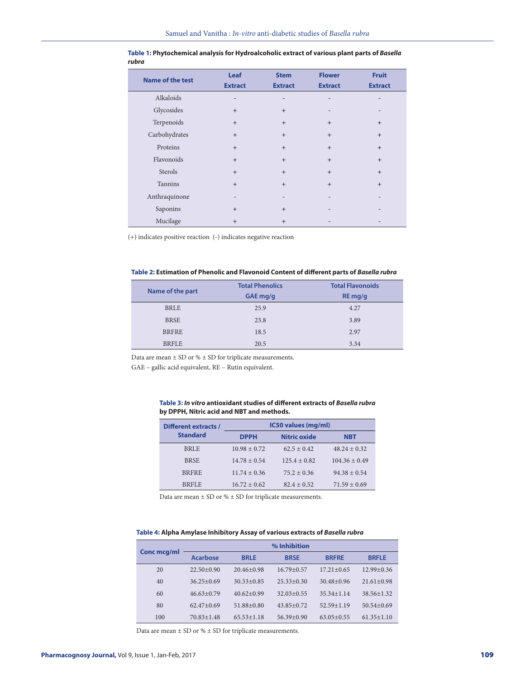| <b>Name of the test</b> | Leaf<br><b>Extract</b>   | <b>Stem</b><br><b>Extract</b> | <b>Flower</b><br><b>Extract</b> | <b>Fruit</b><br><b>Extract</b> |
|-------------------------|--------------------------|-------------------------------|---------------------------------|--------------------------------|
| Alkaloids               | $\qquad \qquad$          | -                             | $\qquad \qquad -$               | $\qquad \qquad$                |
| Glycosides              | $+$                      | $+$                           |                                 |                                |
| Terpenoids              | $+$                      | $+$                           | $+$                             | $+$                            |
| Carbohydrates           | $+$                      | $+$                           | $+$                             | $+$                            |
| Proteins                | $+$                      | $+$                           | $+$                             | $+$                            |
| Flavonoids              | $+$                      | $+$                           | $+$                             | $+$                            |
| Sterols                 | $+$                      | $+$                           | $+$                             | $+$                            |
| Tannins                 | $+$                      | $+$                           | $+$                             | $+$                            |
| Anthraquinone           | $\overline{\phantom{a}}$ |                               |                                 |                                |
| Saponins                | $+$                      | $+$                           |                                 |                                |
| Mucilage                | $+$                      | $+$                           |                                 |                                |

#### **Table 1: Phytochemical analysis for Hydroalcoholic extract of various plant parts of** *Basella rubra*

(+) indicates positive reaction (-) indicates negative reaction

#### **Table 2: Estimation of Phenolic and Flavonoid Content of different parts of** *Basella rubra*

|                  | <b>Total Phenolics</b> | <b>Total Flavonoids</b> |  |
|------------------|------------------------|-------------------------|--|
| Name of the part | GAE mg/g               | RE mg/g                 |  |
| <b>BRLE</b>      | 25.9                   | 4.27                    |  |
| <b>BRSE</b>      | 23.8                   | 3.89                    |  |
| <b>BRFRE</b>     | 18.5                   | 2.97                    |  |
| <b>BRFLE</b>     | 20.5                   | 3.34                    |  |

Data are mean  $\pm$  SD or %  $\pm$  SD for triplicate measurements.

GAE – gallic acid equivalent, RE – Rutin equivalent.

## **Table 3:** *In vitro* **antioxidant studies of different extracts of** *Basella rubra*  **by DPPH, Nitric acid and NBT and methods.**

| Different extracts / | IC50 values (mg/ml) |                     |                   |  |
|----------------------|---------------------|---------------------|-------------------|--|
| <b>Standard</b>      | <b>DPPH</b>         | <b>Nitric oxide</b> | <b>NBT</b>        |  |
| <b>BRLE</b>          | $10.98 \pm 0.72$    | $62.5 + 0.42$       | $48.24 \pm 0.32$  |  |
| <b>BRSE</b>          | $14.78 \pm 0.54$    | $125.4 \pm 0.82$    | $104.36 \pm 0.49$ |  |
| <b>BRFRE</b>         | $11.74 \pm 0.36$    | $75.2 + 0.36$       | $94.38 \pm 0.54$  |  |
| <b>BRFLE</b>         | $16.72 \pm 0.62$    | $82.4 + 0.52$       | $71.59 \pm 0.69$  |  |

Data are mean  $\pm$  SD or %  $\pm$  SD for triplicate measurements.

#### **Table 4: Alpha Amylase Inhibitory Assay of various extracts of** *Basella rubra*

|             | % Inhibition     |                  |                |                  |                  |
|-------------|------------------|------------------|----------------|------------------|------------------|
| Conc mcg/ml | <b>Acarbose</b>  | <b>BRLE</b>      | <b>BRSE</b>    | <b>BRFRE</b>     | <b>BRFLE</b>     |
| 20          | $22.50+0.90$     | $20.46 + 0.98$   | $16.79 + 0.57$ | $17.21 + 0.65$   | $12.99 + 0.36$   |
| 40          | $36.25 + 0.69$   | $30.33 + 0.85$   | $25.33+0.30$   | $30.48 + 0.96$   | $21.61 + 0.98$   |
| 60          | $46.63+0.79$     | $40.62 + 0.99$   | $32.03 + 0.55$ | $35.34 \pm 1.14$ | $38.56 + 1.32$   |
| 80          | $62.47+0.69$     | $51.88 + 0.80$   | $43.85 + 0.72$ | $52.59 + 1.19$   | $50.54 + 0.69$   |
| 100         | $70.83 \pm 1.48$ | $65.53 \pm 1.18$ | $56.39 + 0.90$ | $63.05+0.55$     | $61.35 \pm 1.10$ |

Data are mean  $\pm$  SD or  $\%$   $\pm$  SD for triplicate measurements.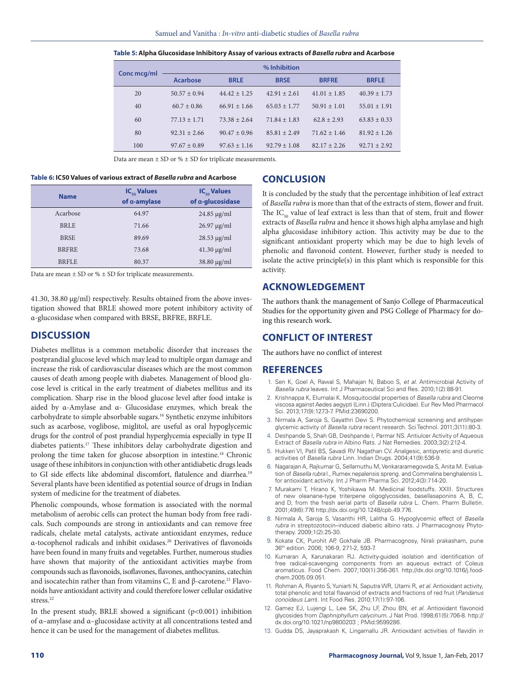|             | % Inhibition     |                  |                  |                  |                |
|-------------|------------------|------------------|------------------|------------------|----------------|
| Conc mcg/ml | <b>Acarbose</b>  | <b>BRLE</b>      | <b>BRSE</b>      | <b>BRFRE</b>     | <b>BRFLE</b>   |
| 20          | $50.57 \pm 0.94$ | $44.42 \pm 1.25$ | $42.91 + 2.61$   | $41.01 \pm 1.85$ | $40.39 + 1.73$ |
| 40          | $60.7 \pm 0.86$  | $66.91 + 1.66$   | $65.03 + 1.77$   | $50.91 \pm 1.01$ | $55.01 + 1.91$ |
| 60          | $77.13 \pm 1.71$ | $73.38 + 2.64$   | $71.84 \pm 1.83$ | $62.8 + 2.93$    | $63.83 + 0.33$ |
| 80          | $92.31 + 2.66$   | $90.47 \pm 0.96$ | $85.81 + 2.49$   | $71.62 \pm 1.46$ | $81.92 + 1.26$ |
| 100         | $97.67 \pm 0.89$ | $97.63 \pm 1.16$ | $92.79 \pm 1.08$ | $82.17 + 2.26$   | $92.71 + 2.92$ |

Data are mean  $\pm$  SD or %  $\pm$  SD for triplicate measurements.

#### **Table 6: IC50 Values of various extract of** *Basella rubra* **and Acarbose**

| <b>Name</b>  | $IC_{\scriptscriptstyle co}$ Values<br>of a-amylase | $IC_{\scriptscriptstyle\rm{co}}$ Values<br>of a-glucosidase |  |
|--------------|-----------------------------------------------------|-------------------------------------------------------------|--|
| Acarbose     | 64.97                                               | $24.85 \mu g/ml$                                            |  |
| <b>BRLE</b>  | 71.66                                               | $26.97 \mu g/ml$                                            |  |
| <b>BRSE</b>  | 89.69                                               | $28.53 \mu g/ml$                                            |  |
| <b>BRFRE</b> | 73.68                                               | $41.30 \mu g/ml$                                            |  |
| <b>BRFLE</b> | 80.37                                               | $38.80 \mu g/ml$                                            |  |

Data are mean  $\pm$  SD or %  $\pm$  SD for triplicate measurements.

41.30, 38.80 µg/ml) respectively. Results obtained from the above investigation showed that BRLE showed more potent inhibitory activity of α-glucosidase when compared with BRSE, BRFRE, BRFLE.

# **DISCUSSION**

Diabetes mellitus is a common metabolic disorder that increases the postprandial glucose level which may lead to multiple organ damage and increase the risk of cardiovascular diseases which are the most common causes of death among people with diabetes. Management of blood glucose level is critical in the early treatment of diabetes mellitus and its complication. Sharp rise in the blood glucose level after food intake is aided by α-Amylase and α- Glucosidase enzymes, which break the carbohydrate to simple absorbable sugars.16 Synthetic enzyme inhibitors such as acarbose, voglibose, miglitol, are useful as oral hypoglycemic drugs for the control of post prandial hyperglycemia especially in type II diabetes patients.17 These inhibitors delay carbohydrate digestion and prolong the time taken for glucose absorption in intestine.18 Chronic usage of these inhibitors in conjunction with other antidiabetic drugs leads to GI side effects like abdominal discomfort, flatulence and diarrhea.<sup>19</sup> Several plants have been identified as potential source of drugs in Indian system of medicine for the treatment of diabetes.

Phenolic compounds, whose formation is associated with the normal metabolism of aerobic cells can protect the human body from free radicals. Such compounds are strong in antioxidants and can remove free radicals, chelate metal catalysts, activate antioxidant enzymes, reduce α-tocophenol radicals and inhibit oxidases.20 Derivatives of flavonoids have been found in many fruits and vegetables. Further, numerous studies have shown that majority of the antioxidant activities maybe from compounds such as flavonoids, isoflavones, flavones, anthocyanins, catechin and isocatechin rather than from vitamins C, E and β-carotene.<sup>21</sup> Flavonoids have antioxidant activity and could therefore lower cellular oxidative stress.<sup>22</sup>

In the present study, BRLE showed a significant  $(p<0.001)$  inhibition of α–amylase and α–glucosidase activity at all concentrations tested and hence it can be used for the management of diabetes mellitus.

# **CONCLUSION**

It is concluded by the study that the percentage inhibition of leaf extract of *Basella rubra* is more than that of the extracts of stem, flower and fruit. The  $IC_{50}$  value of leaf extract is less than that of stem, fruit and flower extracts of *Basella rubra* and hence it shows high alpha amylase and high alpha glucosidase inhibitory action. This activity may be due to the significant antioxidant property which may be due to high levels of phenolic and flavonoid content. However, further study is needed to isolate the active principle(s) in this plant which is responsible for this activity.

# **ACKNOWLEDGEMENT**

The authors thank the management of Sanjo College of Pharmaceutical Studies for the opportunity given and PSG College of Pharmacy for doing this research work.

# **CONFLICT OF INTEREST**

The authors have no conflict of interest

# **REFERENCES**

- 1. Sen K, Goel A, Rawal S, Mahajan N, Baboo S, *et al*. Antimicrobial Activity of *Basella rubra* leaves. Int J Pharmaceutical Sci and Res. 2010;1(2):88-91.
- 2. Krishnappa K, Elumalai K. Mosquitocidal properties of *Basella rubra* and Cleome viscosa against Aedes aegypti (Linn.) (Diptera:Culicidae). Eur Rev Med Pharmacol Sci. 2013;17(9):1273-7. PMid:23690200.
- 3. Nirmala A, Saroja S, Gayathri Devi S. Phytochemical screening and antihyperglycemic activity of *Basella rubra* recent research. Sci Technol. 2011;3(11):80-3.
- 4. Deshpande S, Shah GB, Deshpande I, Parmar NS. Antiulcer Activity of Aqueous Extract of *Basella rubra* in Albino Rats. J Nat Remedies. 2003;3(2):212-4.
- 5. Hukkeri VI, Patil BS, Savadi RV Nagathan CV. Analgesic, antipyretic and diuretic activities of *Basella rubra* Linn. Indian Drugs. 2004;41(9):536-9.
- 6. Nagarajan A, Rajkumar G, Sellamuthu M, Venkararamegowda S, Anita M. Evaluation of *Basella rubra* l., Rumex nepalensis spreng. and Commelina benghalensis L. for antioxidant activity. Int J Pharm Pharma Sci. 2012;4(3):714-20.
- 7. Murakami T, Hirano K, Yoshikawa M. Medicinal foodstuffs. XXIII. Structures of new oleanane-type triterpene oligoglycosides, basellasaponins A, B, C, and D, from the fresh aerial parts of *Basella rubra* L. Chem. Pharm Bulletin. 2001;49(6):776 http://dx.doi.org/10.1248/cpb.49.776.
- 8. Nirmala A, Saroja S, Vasanthi HR, Lalitha G. Hypoglycemic effect of *Basella rubra* in streptozotocin–induced diabetic albino rats. J Pharmacognosy Phytotherapy. 2009;1(2):25-30.
- 9. Kokate CK, Purohit AP, Gokhale JB. Pharmacognosy, Nirali prakasham, pune 36th edition. 2006; 106-9, 271-2, 593-7.
- 10. Kumaran A, Karunakaran RJ. Activity-guided isolation and identification of free radical-scavenging components from an aqueous extract of Coleus aromaticus. Food Chem. 2007;100(1):356-361. http://dx.doi.org/10.1016/j.foodchem.2005.09.051.
- 11. Rohman A, Riyanto S, Yuniarti N, Saputra WR, Utami R, *et al*. Antioxidant activity, total phenolic and total flavanoid of extracts and fractions of red fruit (*Pandanus conoideus Lam*). Int Food Res. 2010;17(1):97-106.
- 12. Gamez EJ, Lujengi L, Lee SK, Zhu LF, Zhou BN, *et al*. Antioxidant flavonoid glycosides from *Daphniphyllum calycinum*. J Nat Prod. 1998;61(5):706-8. http:// dx.doi.org/10.1021/np9800203 ; PMid:9599286.
- 13. Gudda DS, Jayaprakash K, Lingamallu JR. Antioxidant activities of flavidin in